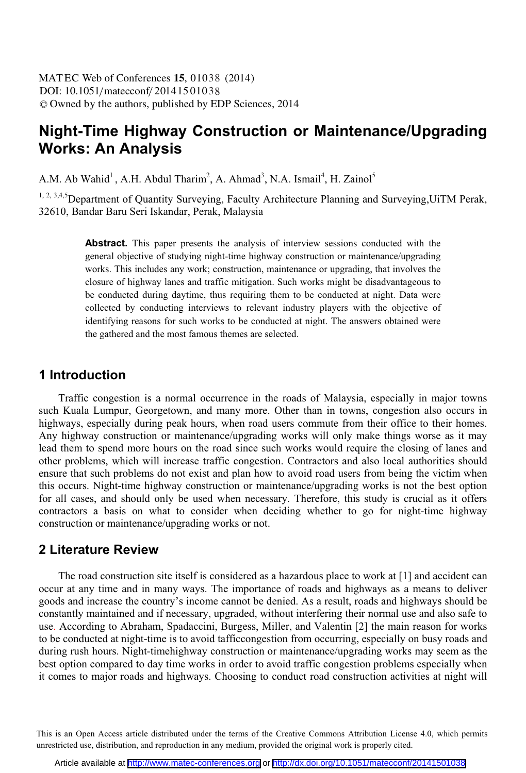# **Night-Time Highway Construction or Maintenance/Upgrading Works: An Analysis**

A.M. Ab Wahid<sup>1</sup>, A.H. Abdul Tharim<sup>2</sup>, A. Ahmad<sup>3</sup>, N.A. Ismail<sup>4</sup>, H. Zainol<sup>5</sup>

<sup>1, 2, 3,4,5</sup>Department of Quantity Surveying, Faculty Architecture Planning and Surveying, UiTM Perak, 32610, Bandar Baru Seri Iskandar, Perak, Malaysia

> **Abstract.** This paper presents the analysis of interview sessions conducted with the general objective of studying night-time highway construction or maintenance/upgrading works. This includes any work; construction, maintenance or upgrading, that involves the closure of highway lanes and traffic mitigation. Such works might be disadvantageous to be conducted during daytime, thus requiring them to be conducted at night. Data were collected by conducting interviews to relevant industry players with the objective of identifying reasons for such works to be conducted at night. The answers obtained were the gathered and the most famous themes are selected.

### **1 Introduction**

Traffic congestion is a normal occurrence in the roads of Malaysia, especially in major towns such Kuala Lumpur, Georgetown, and many more. Other than in towns, congestion also occurs in highways, especially during peak hours, when road users commute from their office to their homes. Any highway construction or maintenance/upgrading works will only make things worse as it may lead them to spend more hours on the road since such works would require the closing of lanes and other problems, which will increase traffic congestion. Contractors and also local authorities should ensure that such problems do not exist and plan how to avoid road users from being the victim when this occurs. Night-time highway construction or maintenance/upgrading works is not the best option for all cases, and should only be used when necessary. Therefore, this study is crucial as it offers contractors a basis on what to consider when deciding whether to go for night-time highway construction or maintenance/upgrading works or not.

### **2 Literature Review**

The road construction site itself is considered as a hazardous place to work at [1] and accident can occur at any time and in many ways. The importance of roads and highways as a means to deliver goods and increase the country's income cannot be denied. As a result, roads and highways should be constantly maintained and if necessary, upgraded, without interfering their normal use and also safe to use. According to Abraham, Spadaccini, Burgess, Miller, and Valentin [2] the main reason for works to be conducted at night-time is to avoid tafficcongestion from occurring, especially on busy roads and during rush hours. Night-timehighway construction or maintenance/upgrading works may seem as the best option compared to day time works in order to avoid traffic congestion problems especially when it comes to major roads and highways. Choosing to conduct road construction activities at night will

This is an Open Access article distributed under the terms of the Creative Commons Attribution License 4.0, which permits unrestricted use, distribution, and reproduction in any medium, provided the original work is properly cited.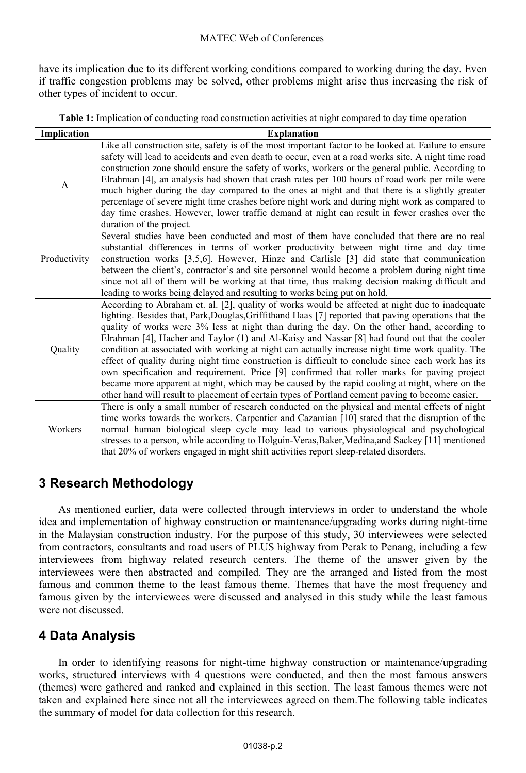have its implication due to its different working conditions compared to working during the day. Even if traffic congestion problems may be solved, other problems might arise thus increasing the risk of other types of incident to occur.

|        | <b>Table 1:</b> Implication of conducting road construction activities at night compared to day time operation |
|--------|----------------------------------------------------------------------------------------------------------------|
| $   -$ |                                                                                                                |

| Implication  | <b>Explanation</b>                                                                                                                                                                                                                                                                                                                                                                                                                                                                                                                                                                                                                                                                                                                                                                                                                                                                                                    |
|--------------|-----------------------------------------------------------------------------------------------------------------------------------------------------------------------------------------------------------------------------------------------------------------------------------------------------------------------------------------------------------------------------------------------------------------------------------------------------------------------------------------------------------------------------------------------------------------------------------------------------------------------------------------------------------------------------------------------------------------------------------------------------------------------------------------------------------------------------------------------------------------------------------------------------------------------|
| A            | Like all construction site, safety is of the most important factor to be looked at. Failure to ensure<br>safety will lead to accidents and even death to occur, even at a road works site. A night time road<br>construction zone should ensure the safety of works, workers or the general public. According to<br>Elrahman [4], an analysis had shown that crash rates per 100 hours of road work per mile were<br>much higher during the day compared to the ones at night and that there is a slightly greater<br>percentage of severe night time crashes before night work and during night work as compared to<br>day time crashes. However, lower traffic demand at night can result in fewer crashes over the<br>duration of the project.                                                                                                                                                                     |
| Productivity | Several studies have been conducted and most of them have concluded that there are no real<br>substantial differences in terms of worker productivity between night time and day time<br>construction works [3,5,6]. However, Hinze and Carlisle [3] did state that communication<br>between the client's, contractor's and site personnel would become a problem during night time<br>since not all of them will be working at that time, thus making decision making difficult and<br>leading to works being delayed and resulting to works being put on hold.                                                                                                                                                                                                                                                                                                                                                      |
| Quality      | According to Abraham et. al. [2], quality of works would be affected at night due to inadequate<br>lighting. Besides that, Park, Douglas, Griffithand Haas [7] reported that paving operations that the<br>quality of works were 3% less at night than during the day. On the other hand, according to<br>Elrahman [4], Hacher and Taylor (1) and Al-Kaisy and Nassar [8] had found out that the cooler<br>condition at associated with working at night can actually increase night time work quality. The<br>effect of quality during night time construction is difficult to conclude since each work has its<br>own specification and requirement. Price [9] confirmed that roller marks for paving project<br>became more apparent at night, which may be caused by the rapid cooling at night, where on the<br>other hand will result to placement of certain types of Portland cement paving to become easier. |
| Workers      | There is only a small number of research conducted on the physical and mental effects of night<br>time works towards the workers. Carpentier and Cazamian [10] stated that the disruption of the<br>normal human biological sleep cycle may lead to various physiological and psychological<br>stresses to a person, while according to Holguin-Veras, Baker, Medina, and Sackey [11] mentioned<br>that 20% of workers engaged in night shift activities report sleep-related disorders.                                                                                                                                                                                                                                                                                                                                                                                                                              |

# **3 Research Methodology**

As mentioned earlier, data were collected through interviews in order to understand the whole idea and implementation of highway construction or maintenance/upgrading works during night-time in the Malaysian construction industry. For the purpose of this study, 30 interviewees were selected from contractors, consultants and road users of PLUS highway from Perak to Penang, including a few interviewees from highway related research centers. The theme of the answer given by the interviewees were then abstracted and compiled. They are the arranged and listed from the most famous and common theme to the least famous theme. Themes that have the most frequency and famous given by the interviewees were discussed and analysed in this study while the least famous were not discussed.

# **4 Data Analysis**

In order to identifying reasons for night-time highway construction or maintenance/upgrading works, structured interviews with 4 questions were conducted, and then the most famous answers (themes) were gathered and ranked and explained in this section. The least famous themes were not taken and explained here since not all the interviewees agreed on them.The following table indicates the summary of model for data collection for this research.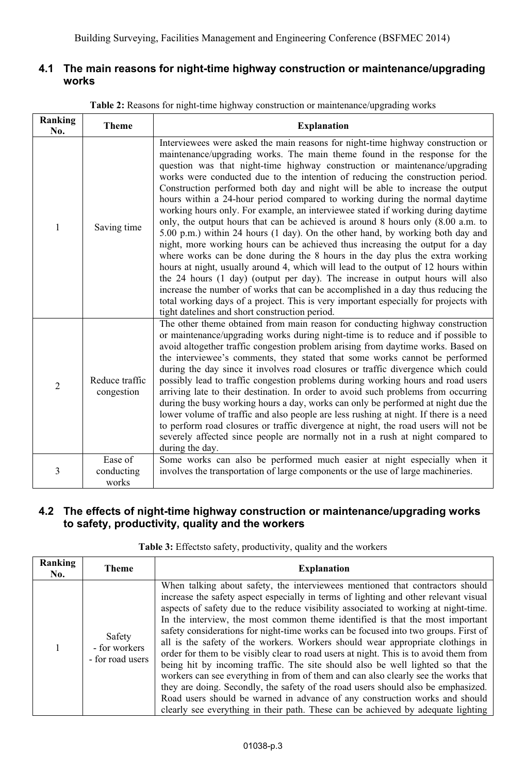### **4.1 The main reasons for night-time highway construction or maintenance/upgrading works**

| Ranking<br>No. | <b>Theme</b>                   | <b>Explanation</b>                                                                                                                                                                                                                                                                                                                                                                                                                                                                                                                                                                                                                                                                                                                                                                                                                                                                                                                                                                                                                                                                                                                                                                                                                                                                                                            |
|----------------|--------------------------------|-------------------------------------------------------------------------------------------------------------------------------------------------------------------------------------------------------------------------------------------------------------------------------------------------------------------------------------------------------------------------------------------------------------------------------------------------------------------------------------------------------------------------------------------------------------------------------------------------------------------------------------------------------------------------------------------------------------------------------------------------------------------------------------------------------------------------------------------------------------------------------------------------------------------------------------------------------------------------------------------------------------------------------------------------------------------------------------------------------------------------------------------------------------------------------------------------------------------------------------------------------------------------------------------------------------------------------|
| 1              | Saving time                    | Interviewees were asked the main reasons for night-time highway construction or<br>maintenance/upgrading works. The main theme found in the response for the<br>question was that night-time highway construction or maintenance/upgrading<br>works were conducted due to the intention of reducing the construction period.<br>Construction performed both day and night will be able to increase the output<br>hours within a 24-hour period compared to working during the normal daytime<br>working hours only. For example, an interviewee stated if working during daytime<br>only, the output hours that can be achieved is around 8 hours only (8.00 a.m. to<br>5.00 p.m.) within 24 hours (1 day). On the other hand, by working both day and<br>night, more working hours can be achieved thus increasing the output for a day<br>where works can be done during the 8 hours in the day plus the extra working<br>hours at night, usually around 4, which will lead to the output of 12 hours within<br>the 24 hours (1 day) (output per day). The increase in output hours will also<br>increase the number of works that can be accomplished in a day thus reducing the<br>total working days of a project. This is very important especially for projects with<br>tight datelines and short construction period. |
| $\overline{2}$ | Reduce traffic<br>congestion   | The other theme obtained from main reason for conducting highway construction<br>or maintenance/upgrading works during night-time is to reduce and if possible to<br>avoid altogether traffic congestion problem arising from daytime works. Based on<br>the interviewee's comments, they stated that some works cannot be performed<br>during the day since it involves road closures or traffic divergence which could<br>possibly lead to traffic congestion problems during working hours and road users<br>arriving late to their destination. In order to avoid such problems from occurring<br>during the busy working hours a day, works can only be performed at night due the<br>lower volume of traffic and also people are less rushing at night. If there is a need<br>to perform road closures or traffic divergence at night, the road users will not be<br>severely affected since people are normally not in a rush at night compared to<br>during the day.                                                                                                                                                                                                                                                                                                                                                  |
| 3              | Ease of<br>conducting<br>works | Some works can also be performed much easier at night especially when it<br>involves the transportation of large components or the use of large machineries.                                                                                                                                                                                                                                                                                                                                                                                                                                                                                                                                                                                                                                                                                                                                                                                                                                                                                                                                                                                                                                                                                                                                                                  |

**Table 2:** Reasons for night-time highway construction or maintenance/upgrading works

### **4.2 The effects of night-time highway construction or maintenance/upgrading works to safety, productivity, quality and the workers**

# **Table 3:** Effects to safety, productivity, quality and the workers

| Ranking<br>No. | <b>Theme</b>                                | <b>Explanation</b>                                                                                                                                                                                                                                                                                                                                                                                                                                                                                                                                                                                                                                                                                                                                                                                                                                                                                                                                                                                                                               |
|----------------|---------------------------------------------|--------------------------------------------------------------------------------------------------------------------------------------------------------------------------------------------------------------------------------------------------------------------------------------------------------------------------------------------------------------------------------------------------------------------------------------------------------------------------------------------------------------------------------------------------------------------------------------------------------------------------------------------------------------------------------------------------------------------------------------------------------------------------------------------------------------------------------------------------------------------------------------------------------------------------------------------------------------------------------------------------------------------------------------------------|
|                | Safety<br>- for workers<br>- for road users | When talking about safety, the interviewees mentioned that contractors should<br>increase the safety aspect especially in terms of lighting and other relevant visual<br>aspects of safety due to the reduce visibility associated to working at night-time.<br>In the interview, the most common theme identified is that the most important<br>safety considerations for night-time works can be focused into two groups. First of<br>all is the safety of the workers. Workers should wear appropriate clothings in<br>order for them to be visibly clear to road users at night. This is to avoid them from<br>being hit by incoming traffic. The site should also be well lighted so that the<br>workers can see everything in from of them and can also clearly see the works that<br>they are doing. Secondly, the safety of the road users should also be emphasized.<br>Road users should be warned in advance of any construction works and should<br>clearly see everything in their path. These can be achieved by adequate lighting |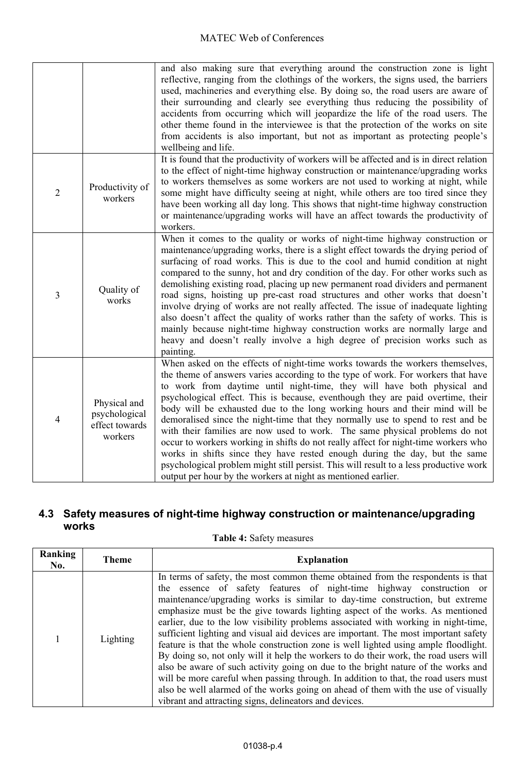|                |                                                            | and also making sure that everything around the construction zone is light<br>reflective, ranging from the clothings of the workers, the signs used, the barriers<br>used, machineries and everything else. By doing so, the road users are aware of<br>their surrounding and clearly see everything thus reducing the possibility of<br>accidents from occurring which will jeopardize the life of the road users. The<br>other theme found in the interviewee is that the protection of the works on site<br>from accidents is also important, but not as important as protecting people's<br>wellbeing and life.                                                                                                                                                                                                                                                                                            |
|----------------|------------------------------------------------------------|----------------------------------------------------------------------------------------------------------------------------------------------------------------------------------------------------------------------------------------------------------------------------------------------------------------------------------------------------------------------------------------------------------------------------------------------------------------------------------------------------------------------------------------------------------------------------------------------------------------------------------------------------------------------------------------------------------------------------------------------------------------------------------------------------------------------------------------------------------------------------------------------------------------|
| $\overline{2}$ | Productivity of<br>workers                                 | It is found that the productivity of workers will be affected and is in direct relation<br>to the effect of night-time highway construction or maintenance/upgrading works<br>to workers themselves as some workers are not used to working at night, while<br>some might have difficulty seeing at night, while others are too tired since they<br>have been working all day long. This shows that night-time highway construction<br>or maintenance/upgrading works will have an affect towards the productivity of<br>workers.                                                                                                                                                                                                                                                                                                                                                                              |
| 3              | Quality of<br>works                                        | When it comes to the quality or works of night-time highway construction or<br>maintenance/upgrading works, there is a slight effect towards the drying period of<br>surfacing of road works. This is due to the cool and humid condition at night<br>compared to the sunny, hot and dry condition of the day. For other works such as<br>demolishing existing road, placing up new permanent road dividers and permanent<br>road signs, hoisting up pre-cast road structures and other works that doesn't<br>involve drying of works are not really affected. The issue of inadequate lighting<br>also doesn't affect the quality of works rather than the safety of works. This is<br>mainly because night-time highway construction works are normally large and<br>heavy and doesn't really involve a high degree of precision works such as<br>painting.                                                  |
| 4              | Physical and<br>psychological<br>effect towards<br>workers | When asked on the effects of night-time works towards the workers themselves,<br>the theme of answers varies according to the type of work. For workers that have<br>to work from daytime until night-time, they will have both physical and<br>psychological effect. This is because, eventhough they are paid overtime, their<br>body will be exhausted due to the long working hours and their mind will be<br>demoralised since the night-time that they normally use to spend to rest and be<br>with their families are now used to work. The same physical problems do not<br>occur to workers working in shifts do not really affect for night-time workers who<br>works in shifts since they have rested enough during the day, but the same<br>psychological problem might still persist. This will result to a less productive work<br>output per hour by the workers at night as mentioned earlier. |

## **4.3 Safety measures of night-time highway construction or maintenance/upgrading works**

### **Table 4:** Safety measures

| Ranking<br>No. | <b>Theme</b> | <b>Explanation</b>                                                                                                                                                                                                                                                                                                                                                                                                                                                                                                                                                                                                                                                                                                                                                                                                                                                                                                                                                                                              |
|----------------|--------------|-----------------------------------------------------------------------------------------------------------------------------------------------------------------------------------------------------------------------------------------------------------------------------------------------------------------------------------------------------------------------------------------------------------------------------------------------------------------------------------------------------------------------------------------------------------------------------------------------------------------------------------------------------------------------------------------------------------------------------------------------------------------------------------------------------------------------------------------------------------------------------------------------------------------------------------------------------------------------------------------------------------------|
|                | Lighting     | In terms of safety, the most common theme obtained from the respondents is that<br>the essence of safety features of night-time highway construction or<br>maintenance/upgrading works is similar to day-time construction, but extreme<br>emphasize must be the give towards lighting aspect of the works. As mentioned<br>earlier, due to the low visibility problems associated with working in night-time,<br>sufficient lighting and visual aid devices are important. The most important safety<br>feature is that the whole construction zone is well lighted using ample floodlight.<br>By doing so, not only will it help the workers to do their work, the road users will<br>also be aware of such activity going on due to the bright nature of the works and<br>will be more careful when passing through. In addition to that, the road users must<br>also be well alarmed of the works going on ahead of them with the use of visually<br>vibrant and attracting signs, delineators and devices. |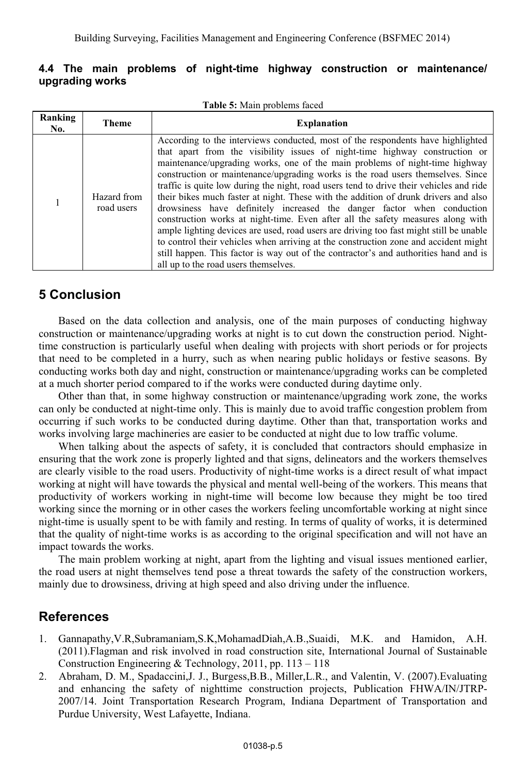#### **4.4 The main problems of night-time highway construction or maintenance/ upgrading works**

**Table 5:** Main problems faced

| Ranking<br>No. | <b>Theme</b>              | <b>Explanation</b>                                                                                                                                                                                                                                                                                                                                                                                                                                                                                                                                                                                                                                                                                                                                                                                                                                                                                                                                                                               |
|----------------|---------------------------|--------------------------------------------------------------------------------------------------------------------------------------------------------------------------------------------------------------------------------------------------------------------------------------------------------------------------------------------------------------------------------------------------------------------------------------------------------------------------------------------------------------------------------------------------------------------------------------------------------------------------------------------------------------------------------------------------------------------------------------------------------------------------------------------------------------------------------------------------------------------------------------------------------------------------------------------------------------------------------------------------|
|                | Hazard from<br>road users | According to the interviews conducted, most of the respondents have highlighted<br>that apart from the visibility issues of night-time highway construction or<br>maintenance/upgrading works, one of the main problems of night-time highway<br>construction or maintenance/upgrading works is the road users themselves. Since<br>traffic is quite low during the night, road users tend to drive their vehicles and ride<br>their bikes much faster at night. These with the addition of drunk drivers and also<br>drowsiness have definitely increased the danger factor when conduction<br>construction works at night-time. Even after all the safety measures along with<br>ample lighting devices are used, road users are driving too fast might still be unable<br>to control their vehicles when arriving at the construction zone and accident might<br>still happen. This factor is way out of the contractor's and authorities hand and is<br>all up to the road users themselves. |

## **5 Conclusion**

Based on the data collection and analysis, one of the main purposes of conducting highway construction or maintenance/upgrading works at night is to cut down the construction period. Nighttime construction is particularly useful when dealing with projects with short periods or for projects that need to be completed in a hurry, such as when nearing public holidays or festive seasons. By conducting works both day and night, construction or maintenance/upgrading works can be completed at a much shorter period compared to if the works were conducted during daytime only.

Other than that, in some highway construction or maintenance/upgrading work zone, the works can only be conducted at night-time only. This is mainly due to avoid traffic congestion problem from occurring if such works to be conducted during daytime. Other than that, transportation works and works involving large machineries are easier to be conducted at night due to low traffic volume.

When talking about the aspects of safety, it is concluded that contractors should emphasize in ensuring that the work zone is properly lighted and that signs, delineators and the workers themselves are clearly visible to the road users. Productivity of night-time works is a direct result of what impact working at night will have towards the physical and mental well-being of the workers. This means that productivity of workers working in night-time will become low because they might be too tired working since the morning or in other cases the workers feeling uncomfortable working at night since night-time is usually spent to be with family and resting. In terms of quality of works, it is determined that the quality of night-time works is as according to the original specification and will not have an impact towards the works.

The main problem working at night, apart from the lighting and visual issues mentioned earlier, the road users at night themselves tend pose a threat towards the safety of the construction workers, mainly due to drowsiness, driving at high speed and also driving under the influence.

## **References**

- 1. Gannapathy,V.R,Subramaniam,S.K,MohamadDiah,A.B.,Suaidi, M.K. and Hamidon, A.H. (2011).Flagman and risk involved in road construction site, International Journal of Sustainable Construction Engineering & Technology, 2011, pp. 113 – 118
- 2. Abraham, D. M., Spadaccini,J. J., Burgess,B.B., Miller,L.R., and Valentin, V. (2007).Evaluating and enhancing the safety of nighttime construction projects, Publication FHWA/IN/JTRP-2007/14. Joint Transportation Research Program, Indiana Department of Transportation and Purdue University, West Lafayette, Indiana.